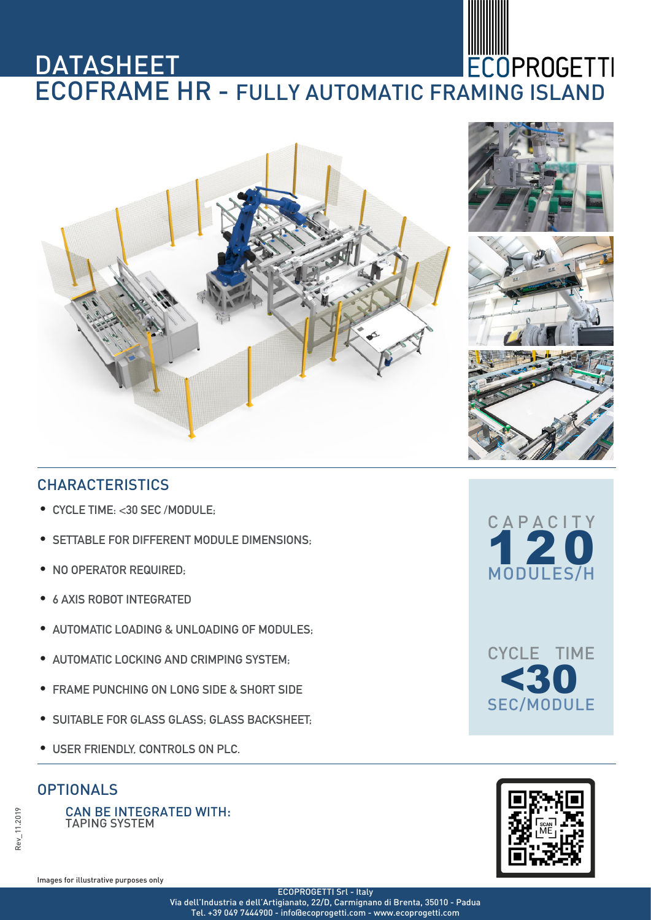# **DATASHEET DATASHEET<br>ECOFRAME HR - FULLY AUTOMATIC FRAMING ISLAND**





## **CHARACTERISTICS**

- **•** CYCLE TIME: <30 SEC /MODULE;
- **•** SETTABLE FOR DIFFERENT MODULE DIMENSIONS;
- **•** NO OPERATOR REQUIRED;
- **•** 6 AXIS ROBOT INTEGRATED
- **•** AUTOMATIC LOADING & UNLOADING OF MODULES;
- **•** AUTOMATIC LOCKING AND CRIMPING SYSTEM;
- **•** FRAME PUNCHING ON LONG SIDE & SHORT SIDE
- **•** SUITABLE FOR GLASS GLASS; GLASS BACKSHEET;
- **•** USER FRIENDLY, CONTROLS ON PLC.

### **OPTIONALS**

CAN BE INTEGRATED WITH: TAPING SYSTEM







Images for illustrative purposes only

ECOPROGETTI Srl - Italy

Via dell'Industria e dell'Artigianato, 22/D, Carmignano di Brenta, 35010 - Padua Tel. +39 049 7444900 - info@ecoprogetti.com - www.ecoprogetti.com